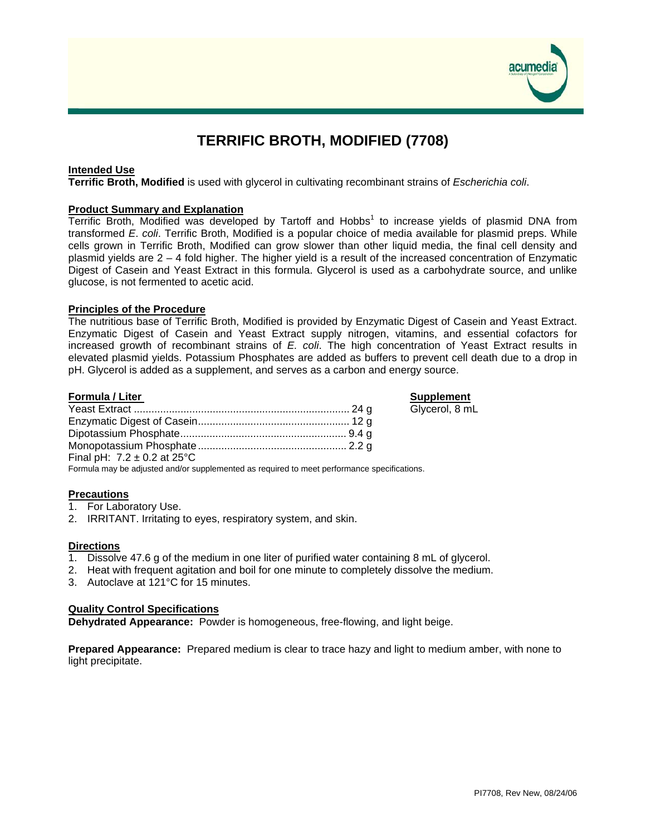

# **TERRIFIC BROTH, MODIFIED (7708)**

# **Intended Use**

**Terrific Broth, Modified** is used with glycerol in cultivating recombinant strains of *Escherichia coli*.

## **Product Summary and Explanation**

Terrific Broth, Modified was developed by Tartoff and Hobbs<sup>1</sup> to increase yields of plasmid DNA from transformed *E*. *coli*. Terrific Broth, Modified is a popular choice of media available for plasmid preps. While cells grown in Terrific Broth, Modified can grow slower than other liquid media, the final cell density and plasmid yields are 2 – 4 fold higher. The higher yield is a result of the increased concentration of Enzymatic Digest of Casein and Yeast Extract in this formula. Glycerol is used as a carbohydrate source, and unlike glucose, is not fermented to acetic acid.

# **Principles of the Procedure**

The nutritious base of Terrific Broth, Modified is provided by Enzymatic Digest of Casein and Yeast Extract. Enzymatic Digest of Casein and Yeast Extract supply nitrogen, vitamins, and essential cofactors for increased growth of recombinant strains of *E. coli*. The high concentration of Yeast Extract results in elevated plasmid yields. Potassium Phosphates are added as buffers to prevent cell death due to a drop in pH. Glycerol is added as a supplement, and serves as a carbon and energy source.

# **Formula / Liter Supplement**

Glycerol, 8 mL

|                                                                                             | Glv |
|---------------------------------------------------------------------------------------------|-----|
|                                                                                             |     |
|                                                                                             |     |
|                                                                                             |     |
| Final pH: $7.2 \pm 0.2$ at 25°C                                                             |     |
| Formula may be adjusted and/or supplemented as required to meet performance specifications. |     |

## **Precautions**

- 1. For Laboratory Use.
- 2. IRRITANT. Irritating to eyes, respiratory system, and skin.

# **Directions**

- 1. Dissolve 47.6 g of the medium in one liter of purified water containing 8 mL of glycerol.
- 2. Heat with frequent agitation and boil for one minute to completely dissolve the medium.
- 3. Autoclave at 121°C for 15 minutes.

# **Quality Control Specifications**

**Dehydrated Appearance:** Powder is homogeneous, free-flowing, and light beige.

**Prepared Appearance:** Prepared medium is clear to trace hazy and light to medium amber, with none to light precipitate.